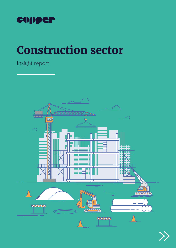

# Construction sector

Insight report



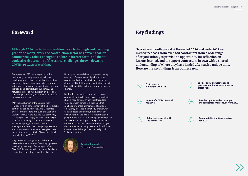#### Foreword

Perhaps what 2020 has also proven is that the industry has long been wise to its own developmental challenges, but that it sometimes takes exceptional circumstances to empower individuals en masse as an industry to surmount the traditional contractual boundaries, and natural commercial risk aversion on incredibly tight margins, that may have limited the pace of progress in the past.

With the publication of the Construction Playbook, which echoes many of the best practice sentiments set down in the 2016 Modernise or Die, Farmer Report, and even the Egan and Latham reviews of the 80s and 90s, some may be saying that it's simply a case of 'here we go again'. But attending recent industry events, it's been inspiring to listen to contributors sharing examples of real change, improvement and modernisation, that have been given new momentum and a 'cost blind' licence to plough through, due to COVID-19.

They described how genuine collaborations delivered transformations, from major projects developing new ways of working (to offset COVID-19 delays) that will cut years off delivery timetables, to building conversions like our

Nightingale Hospitals being completed in only nine days. Greater use of digital, and more creative applications of offsite and modular driven by COVID-19 proximity restrictions on site, have all helped the sector accelerate the pace of change.

 $\left(\begin{matrix} \epsilon \end{matrix}\right)$  **cost concern outweighs COVID-19**



But for this change to endure, and remain commercially feasible, our survey respondents show a need for recognition that this added value approach comes at a cost. One that can be surmounted at moments of national emergency, because the industry knows what can and needs to be done, but one that can only be hard-baked into a real modernisation programme if the sector can be judged on quality and value, not lowest price, and given longer time visible pipelines and commitments to give the commercial certainty needed to fund further innovation and change. Then we really could 'build back better'.



**Although 2020 has to be marked down as a truly tough and troubling year on so many levels, the construction sector has proven that it's commercially robust enough to endure in its core form, and that it could also rise to some of the critical challenges thrown down by COVID-19 ways of working.**

> **Caroline Romback**  Director of Construction

### Key findings

**Over a two-month period at the end of 2020 and early 2021 we invited feedback from over 200 contractors from a wide range of organisations, to provide an opportunity for reflection on lessons learned, and to support contractors in 2021 with a shared understanding of where they have landed after such a unique time. Here are the key findings from our research.**





**Impact of COVID-19 not all negative**



**Balance of risk still with the contractor**

**Lack of early engagement and procurement limits innovation to offset risk**



**Positive opportunities to support modernisation momentum from 2020**



**Sustainability the biggest driver for 2021**

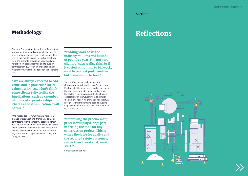## Methodology

Our new Construction Sector Insight Report takes stock of sentiment and commercial perspectives after a unique and incredibly challenging 2020. Over a two-month period we invited feedback from the sector to provide an opportunity for reflection on lessons learned and to support contractors in 2021 with an understanding of where they have landed after such a challenging time.

Who responded – over 200 contractors from a range of organisations, from SMEs to major contractors, with the majority describing their work as national/working nationwide. We asked them a series of questions on their views of the market, the impact of COVID-19 and the other key pressures and opportunities that they are facing in 2021.

Shortly after the survey launched, the Government introduced its new Construction Playbook, highlighting many parallels between the challenges and obligations outlined by the sector in this survey, and the heightened expectations of the Government as a major client. In this report we show a sector that fully recognises this modernising agenda but sets it against an enduring pressure from clients to drive down cost.

"We are always expected to add value, and in particular social value to a project. I don't think some clients fully realise the implications, such as x number of hours of apprenticeships. There is a cost implication to all of this."

"Bidding work costs the industry millions and billions of pounds a year, I'm not sure clients always realise this. So if it costed us nothing to bid work, we'd have great profit and our bid prices would be less."

"Improving the procurement process will play a large part in setting the tone for any construction project. This is where the drive for quality and the required safety outcomes, rather than lowest cost, must start."

Construction Playbook

**Section 1**

## Reflections

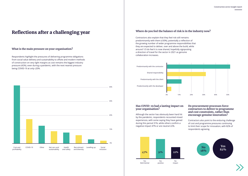## Reflections after a challenging year

#### **What is the main pressure on your organisation?**

Respondents highlight the pressures of delivering programme obligations from social value delivery and sustainability to offsite and modern methods of construction on very tight margins as cost remains the biggest industry pressure (42%), even during a pandemic, with the next nearest pressure being COVID-19 at only c20%.



#### **Has COVID-19 had a lasting impact on your organisation?**

Although the sector has obviously been hard hit by the pandemic, respondents recounted mixed experiences, with some saying they have gained during this period 31%, while others confirm a negative impact 47% or are neutral 22%.

#### **Do procurement processes force contractors to deliver to programme and cost constraints, rather than encourage genuine innovation?**

Contractors also point to the enduring challenge of cost and programme pressures continuing to limit their scope for innovation, with 82% of respondents agreeing.

Contractors also explain that they feel risk still remains predominantly with them (c50%), potentially a reflection of the growing number of wider programme responsibilities that they are expected to deliver, over and above the build, while around 1/3 do feel it is now shared, hopefully signposting a direction of travel for the sector in 2021 as genuine collaboration increases.



#### **Where do you feel the balance of risk is in the industry now?**





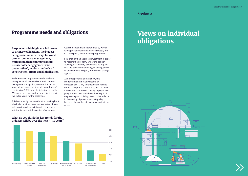

### Programme needs and obligations

**Respondents highlighted a full range of primary obligations, the biggest being social value delivery, followed by environmental management/ mitigation, then communications & stakeholder engagement and under 'other', modern methods of construction/offsite and digitalisation.**

And these core programme needs are here to stay as social value delivery, environmental management/mitigation, communications & stakeholder engagement, modern methods of construction/offsite and digitalisation, as well as EDI, are all seen as growing trends for the next five to ten years for the sector too.

This is echoed by the new [Construction Playbook,](https://assets.publishing.service.gov.uk/government/uploads/system/uploads/attachment_data/file/941536/The_Construction_Playbook.pdf) which also outlines these modernisation drivers as key reciprocal expectations in return for a substantive and visible pipeline of work from

Government and its departments, by way of its major National Infrastructure Strategy and £100bn spend, and other key programmes.

So although the headline is investment in order to restore the economy under the banner 'building back better', it could also be argued that the Government is using its buying power to drive forward a slightly more covert change agenda.

As our respondent quotes show, this modernisation is not unwelcome or unrecognised. Many contractors are keen to embed best practice more fully, and do drive innovations, but the cost to fully deploy these programmes, over and above the day job of engineering and building, needs to be reflected in the costing of projects, so that quality becomes the marker of value on a project, not price.

#### **What do you think the key trends for the industry will be over the next 5–10 years?**



**Section 2**



## Views on individual obligations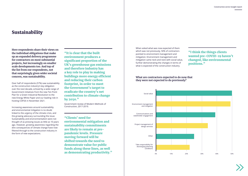### Sustainability

**Here respondents share their views on the individual obligations that make up an expanded delivery programme for contractors on most substantial projects, but increasingly on smaller scale developments too. And top of the list from our respondents, not that surprisingly given wider societal concern, was sustainability.**

Over half of respondents (57%) saw sustainability as the construction industry's key obligation over the next decade, echoed by a wide range of Government initiatives from the new Ten Point Plan for a Green Industrial Revolution to the new Energy White Paper and our leading role in hosting COP26 in November 2021.

Increasing awareness around sustainability and environmental mitigation is no doubt linked to the urgency of the climate crisis, and the growing advocacy surrounding the issue. Sustainability and environmentalism were not thought of as pressing issues as little as 10 years ago. However, growing awareness regarding the dire consequences of climate change have now filtered through to the construction industry in the form of new expectations.

"It is clear that the built environment produces a significant proportion of the UK's greenhouse gas emissions and therefore industry has a key role to play in making buildings more energy efficient and reducing their carbon footprint, in order to meet the Government's target to eradicate the country's net contribution to climate change by 2050."

Government review of Modern Methods of Construction, 2017-2019.

"Clients' need for environmental mitigation and sustainability commitments are likely to remain at prepandemic levels. Pressure moving forward will be shifted towards the need to demonstrate value for public funds along these lines, as well as demonstrating productivity." When asked what was now expected of them which was not previously, 50% of contractors pointed to environment management and mitigation. Environment management and mitigation came neck and neck with social value, further demonstrating the changes in terms of what is expected of the construction industry.

#### "I think the things clients wanted pre-COVID-19 haven't changed, like environmental positions."





#### **What are contractors expected to do now that they were not expected to do previously?**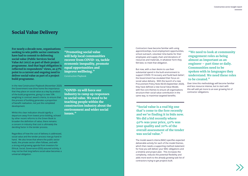### Social Value Delivery

**For nearly a decade now, organisations seeking to win public sector contracts have had to commit to delivering social value (Public Services Social Value Act 2012) as part of their project programme. And that legal obligation is reflected in respondents' views, as 47% point to a current and ongoing need to deliver social value as part of a project build programme.** 

In the new Construction Playbook (November 2020) the Government now drive home the importance that they place on social value as a key by product of the build programme, giving it a new 10% weighting in contract award criteria, to ensure that the process of building generates a proportion of benefit realisation, not just the completed development.

Whilst this clear indication should signify a departure away from lowest price bidding, echoed by other recent reforms to the Green Book to broaden the definition of value, there remains a concern in industry that cost is ultimately the deciding factor in the tender process.

Regardless of how the cost of delivery is addressed, social value and the tender process now go hand in hand. We also know that where the public sector leads, the private sector often follows, and with a strong and growing agenda from investors for Ethical, Social, Governance (ESG) assured activity, it may not be that long before social value becomes a universal obligation.

"Promoting social value will help local communities recover from COVID-19, tackle economic inequality, promote equal opportunities and improve wellbeing."

"We need to look at community engagement roles as being almost as important as an engineer – part time or daily. Communities need to be spoken with in languages they understand. We need these roles to be created."

Construction Playbook

"Social value is a real big one that's come to the fore recently and we're finding it in bids now. We did a bid recently where 40% was your price, 40% was your quality and 20% of the overall assessment of the tender was social value."

"COVID-19 will force our industry to ramp up responses to social value. We need to be teaching people within the construction industry about the environment and wider social issues."

Contractors have become familiar with using apprenticeships, local employment opportunities, school outreach, volunteer time banks for their employees and supply chain and donations of resources and materials, in whatever form they felt best, to meet that obligation.

But now, with a clear desire to use their substantial spend in the built environment to support COVID-19 recovery and 'build back better', the Government has escalated their focus on social value delivery. With the launch of a new Procurement Policy Note 06/20 (September 2020), they have defined a new Social Value Model, with five core themes to ensure all organisations structure their social value contribution in the same way, to maximise targeted benefits.

The model award criteria (MAC) specifies expected deliverable activity for each of the model themes, which then needs a supporting method statement for how you will deliver your MAC obligations and a timeline and project plan. This increases the complexity, reduces the potential flexibility and adds more work to the already growing task list of contractors trying to get projects built.

Over time this methodology will become familiar and less resource intense, but to start with this will add yet more to an ever growing list of contractor obligations.

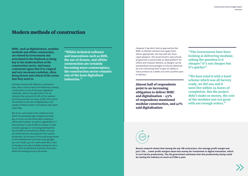### Modern methods of construction

**MMC, such as digitalisation, modular methods and offsite construction, are viewed by Government and articulated in the Playbook as being key to the modernisation of the construction sector. And many contractors agree that it is a logical and very necessary evolution, often being honest and critical of the sector that they work in.**

And their honest self-reflection is echoed in data, with a recent index from McKinsey ranking construction as one of the least digitalised industries, above only agriculture. For an industry that accounts for 6% of the national economy and hires as many as 8% of the entire UK workforce, the lack of digitalisation and uptake of these modern innovations may seem surprising.

"We have tried it with a hotel scheme which was all factory ready, we did one and it went live within 24 hours of completion. But the project didn't make us money, the cost of the modules was too great with not enough orders."



But if you come back to the context of cost, which on extremely tight margins becomes key, it is less cut and dried when looking at offsite and modular, as well as digitalisation. If theoretically it costs £5,000 to employ a trade to build a garage on a housing development, but £10,000 to manufacture offsite, and you are limited by the value gained from volume production, by the pace of the build programme on the development and how many garages you can install, you can understand why a lack of change is not about luddite resistance, but a much more fundamental overhaul of process, while the existing process still works.

"Whilst technical software and innovations such as BIM, the use of drones, and offsite construction are certainly becoming more commonplace, the construction sector remains one of the least digitalised industries."

However if we don't look at approaches like MMC as blanket solutions but apply them where appropriate, we may well see more rapid adoption. The Government's new schools programme could provide an ideal platform for offsite and modular delivery, as designs can be standardised and packages of schools delivered by one contracting team to give an ability to mass produce at a viable cost and a quicker pace of delivery.

"The Government have been looking at delivering modular, asking the question is it cheaper? It's not cheaper but it's quicker"

Almost half of respondents point to an increasing obligation to deliver MMC and digitalisation - 45% of respondents mentioned modular construction, and 41% said digitalisation



**Recent research shows that among the top 100 contractors, the average profit margin was just 1.5%.... Lower profit margins mean less money for investment in digital innovation, which in turn harms productivity. The UK government estimates that this productivity slump could be costing the industry as much as £15bn a year.**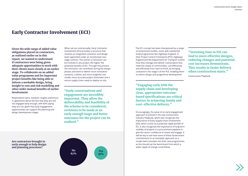### Early Contractor Involvement (ECI)

**Given the wide range of added value obligations placed on contractors, as outlined earlier on in this report, we wanted to understand if contractors were being given adequate opportunities to work with their clients more closely at an earlier stage. To collaborate on an added value programme and for important project benefits like being able to inform a workable design, bring insight to cost and risk modelling and other wider mutual benefits of earlier involvement.**

Respondents were, however, largely unanimous in agreement about the fact that they are still not engaged early enough, with 82% saying they are not, given that early engagement opportunities can support the planning and design development stages.

When set out contractually, Early Contractor Involvement (ECI) provides a structure that involves an integrated contractor and design team appointed under an incentivised, twostage contract. The sooner a contractor can be involved in any project, the higher the potential benefits of ECI. Through this process the contractor can contribute during the design phases and work to deliver more innovative solutions, a better and more insightful cost model, more accurate project timescales and a secure supply chain ready to deploy on site.



"Investing time in ESI can lead to more effective designs, reducing changes and potential cost increases downstream. This results in faster delivery when construction starts."

"Early conversations and engagement are incredibly important. They allow the deliverability and feasibility of the scheme to be considered, revisions to be made at an early enough stage and better outcomes for the project can be realised."

**Are contractors brought in early enough to help design and planning processes?**

The ECI concept has been championed by a range of Government bodies, some with substantial build programmes like Highways England. In their Project Control Framework (PCF), Highways England and the Department for Transport outline how they manage and deliver road projects that meet the needs of communities, cost effectively and efficiently from start to finish, by bringing contractors into stage 5 of the PCF, enabling them to inform design and programme development.

Encouragingly, the value of an early engagement approach is echoed in the new Construction Industry Playbook, which also recognises the importance of Early Supply Chain Involvement (ESI), which comes as a potential ripple benefit of ECI. It also recognises the importance of long-term visibility of projects in a procurement pipeline to give the sector confidence to invest and engage. It will be key to see how some of these Government commitments to an exemplar approach as a model client translate into their new programmes, as this should set the benchmark from which a wider ripple of change could follow.

"Engaging early with the supply chain and developing clear, appropriate outcomebased specifications are critical factors in achieving timely and cost-effective delivery."

Construction Playbook

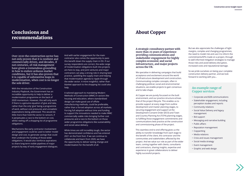### Conclusions and recommendations

Over 2020 the construction sector has not only proven that it is resilient and commercially driven, and decades, if not centuries, of risk management have given a tremendous grounding in how to endure arduous market conditions, but it has also proven that it is capable of substantive leaps in modernisation, when cost is no longer the sole driver.

With the introduction of the Construction Industry Playbook, the Government has an incredible opportunity to help to deliver a modernisation programme on the back of 2020 momentum. However, this will only work if there is a genuine equation of give and take, rather than the only 'give' being a programme of work, without cost pressures and unrealistic expectations being addressed. This would do little more than hold the sector to ransom, if it perpetuates a race to the bottom on cost, whilst reeling off a shopping list of programme obligations.

Mechanisms like early contractor involvement and engagement could be used to better model design and cost, to generate savings that could then underpin the funding of those wider obligations. It would also reinforce aspirations to share long-term visible pipelines of major projects by way of early engagement dialogues.

And with earlier engagement for the main contractor also comes the opportunity to pass this benefit down the supply chain in ESI. If our survey respondents are correct, the wide range of modernisation obligations built into projects are here to stay, and joint ventures and major contractors can play a strong role in sharing best practice, upskilling the supply chain and helping that modernisation agenda to ripple through the wider sector. A more insightful, rather than blanket approach to the shopping list could also help.

A tailored approach to mandating Modern Methods of Construction (MMC) in sectors like housing and education, where standardised design can make good use of offsite manufacturing methods, could be preferable, rather than a forced adoption across all markets. Forcing full adoption without time and funding to support the innovations needed to make MMC commercially viable risks bringing further cost pressures and a race to the bottom on those wider programme obligations like sustainability and social value delivery.

While times are still incredibly tough, the sector has demonstrated confidence and has entered 2021 on the front foot. If we can continue to collaborate and learn from 2020, we have the opportunity to deliver lasting change and modernisation for the benefit of all.

#### About Copper

**A strategic consultancy partner with more than 25 years of experience providing communications and stakeholder engagement for highly complex economic and social infrastructure, and major projects across the UK.**

We specialise in delivering campaigns that build acceptance and excitement around the world of infrastructure development and construction. Communicating complex concepts, often in challenging political, social and environmental situations, we enable projects to gain consensus and to take shape.

At Copper we are purely focussed on the built environment, and our practice structure echoes that of the project lifecycle. This enables us to provide support at every stage from outline development and master planning stages, to securing engagement and support at the Development Consent Order (DCO) and Town and Country Planning Act (TCPA) planning stages, to fulfilling those engagement commitments and communications best practice at the construction and commissioning phase of the project.

This seamless end to end offering gives us the ability to transfer knowledge from each stage to the benefit of the client, the contractor and the communities and stakeholders affected by the project. And we value our role as part of the wider team, coming together with clients, consultants and contractors, sharing insights, expertise and experience in great collaborations to deliver highly successful projects.

But we also appreciate the challenges of tight margins, complex and changing programmes, the need to model risk and use it to inform the commitments/KPIs made on a project, through to well informed mitigation strategies to manage those risks and avoid delivery disruption, increased costs and reputational damage.

So we pride ourselves on being your complete construction delivery partner, and we look forward to working with you…

#### **An example range of Copper services**

- Corporate and B2B communications
- Stakeholder engagement, including perception studies and reports
- Community relations
- Social Value Delivery and legacy management
- Bid support
- Messaging and narrative building
- Public affairs
- Reputation management
- Copywriting
- Media relations
- Crisis and issues management
- Social media strategy
- Event management
- Graphic and web design